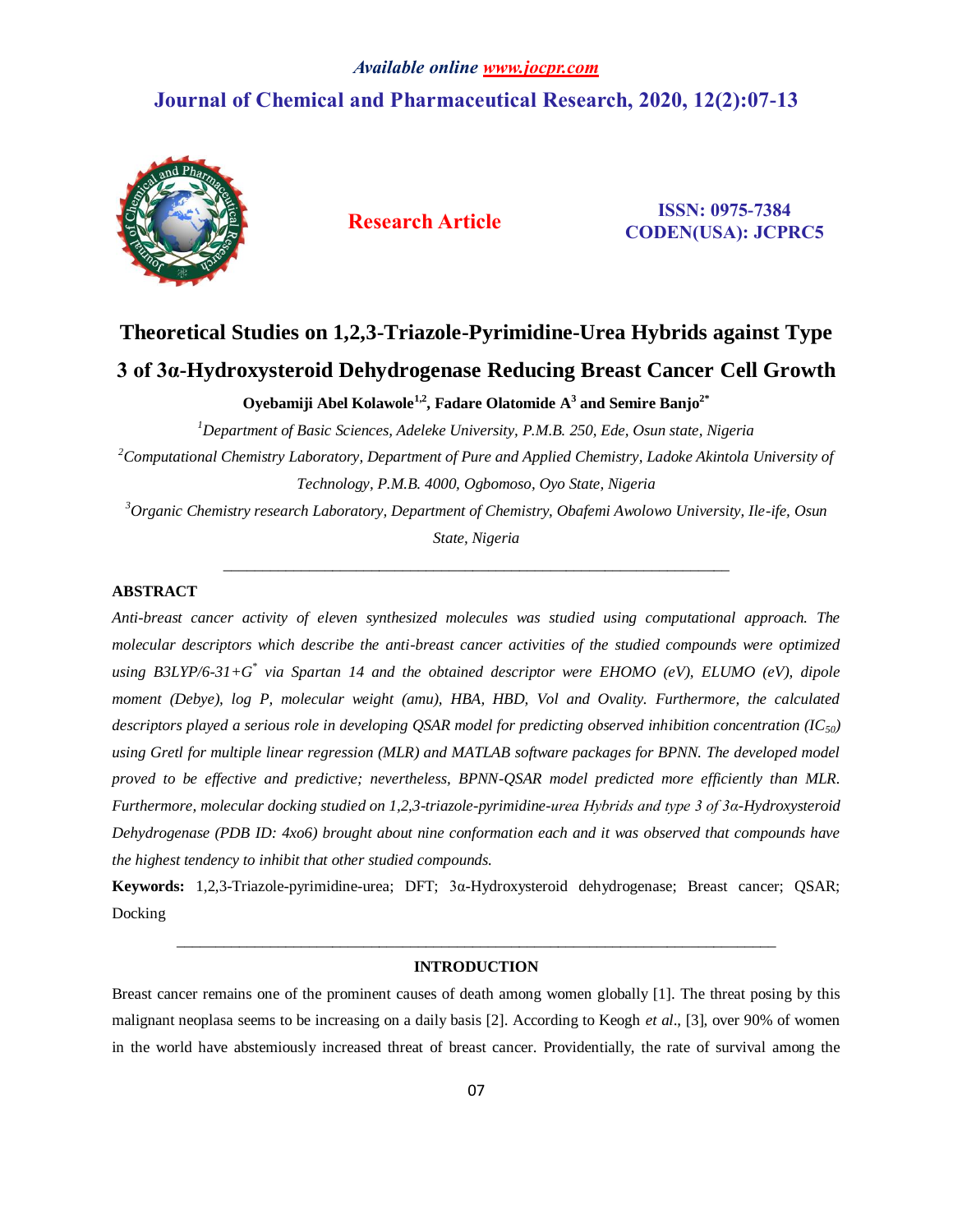# *Available online www.jocpr.com* **Journal of Chemical and Pharmaceutical Research, 2020, 12(2):07-13**



**Research Article ISSN: 0975-7384 CODEN(USA): JCPRC5**

# **Theoretical Studies on 1,2,3-Triazole-Pyrimidine-Urea Hybrids against Type 3 of 3α-Hydroxysteroid Dehydrogenase Reducing Breast Cancer Cell Growth**

**Oyebamiji Abel Kolawole1,2, Fadare Olatomide A<sup>3</sup> and Semire Banjo2\***

*<sup>1</sup>Department of Basic Sciences, Adeleke University, P.M.B. 250, Ede, Osun state, Nigeria <sup>2</sup>Computational Chemistry Laboratory, Department of Pure and Applied Chemistry, Ladoke Akintola University of Technology, P.M.B. 4000, Ogbomoso, Oyo State, Nigeria*

*<sup>3</sup>Organic Chemistry research Laboratory, Department of Chemistry, Obafemi Awolowo University, Ile-ife, Osun State, Nigeria*

\_\_\_\_\_\_\_\_\_\_\_\_\_\_\_\_\_\_\_\_\_\_\_\_\_\_\_\_\_\_\_\_\_\_\_\_\_\_\_\_\_\_\_\_\_\_\_\_\_\_\_\_\_\_\_\_\_\_\_\_\_\_\_\_\_

### **ABSTRACT**

*Anti-breast cancer activity of eleven synthesized molecules was studied using computational approach. The molecular descriptors which describe the anti-breast cancer activities of the studied compounds were optimized using B3LYP/6-31+G\* via Spartan 14 and the obtained descriptor were EHOMO (eV), ELUMO (eV), dipole moment (Debye), log P, molecular weight (amu), HBA, HBD, Vol and Ovality. Furthermore, the calculated descriptors played a serious role in developing QSAR model for predicting observed inhibition concentration (IC50) using Gretl for multiple linear regression (MLR) and MATLAB software packages for BPNN. The developed model proved to be effective and predictive; nevertheless, BPNN-QSAR model predicted more efficiently than MLR. Furthermore, molecular docking studied on 1,2,3-triazole-pyrimidine-urea Hybrids and type 3 of 3α-Hydroxysteroid Dehydrogenase (PDB ID: 4xo6) brought about nine conformation each and it was observed that compounds have the highest tendency to inhibit that other studied compounds.*

**Keywords:** 1,2,3-Triazole-pyrimidine-urea; DFT; 3α-Hydroxysteroid dehydrogenase; Breast cancer; QSAR; Docking

## *\_\_\_\_\_\_\_\_\_\_\_\_\_\_\_\_\_\_\_\_\_\_\_\_\_\_\_\_\_\_\_\_\_\_\_\_\_\_\_\_\_\_\_\_\_\_\_\_\_\_\_\_\_\_\_\_\_\_\_\_\_\_\_\_\_\_\_\_\_\_\_\_\_\_\_\_\_* **INTRODUCTION**

Breast cancer remains one of the prominent causes of death among women globally [1]. The threat posing by this malignant neoplasa seems to be increasing on a daily basis [2]. According to Keogh *et al*., [3], over 90% of women in the world have abstemiously increased threat of breast cancer. Providentially, the rate of survival among the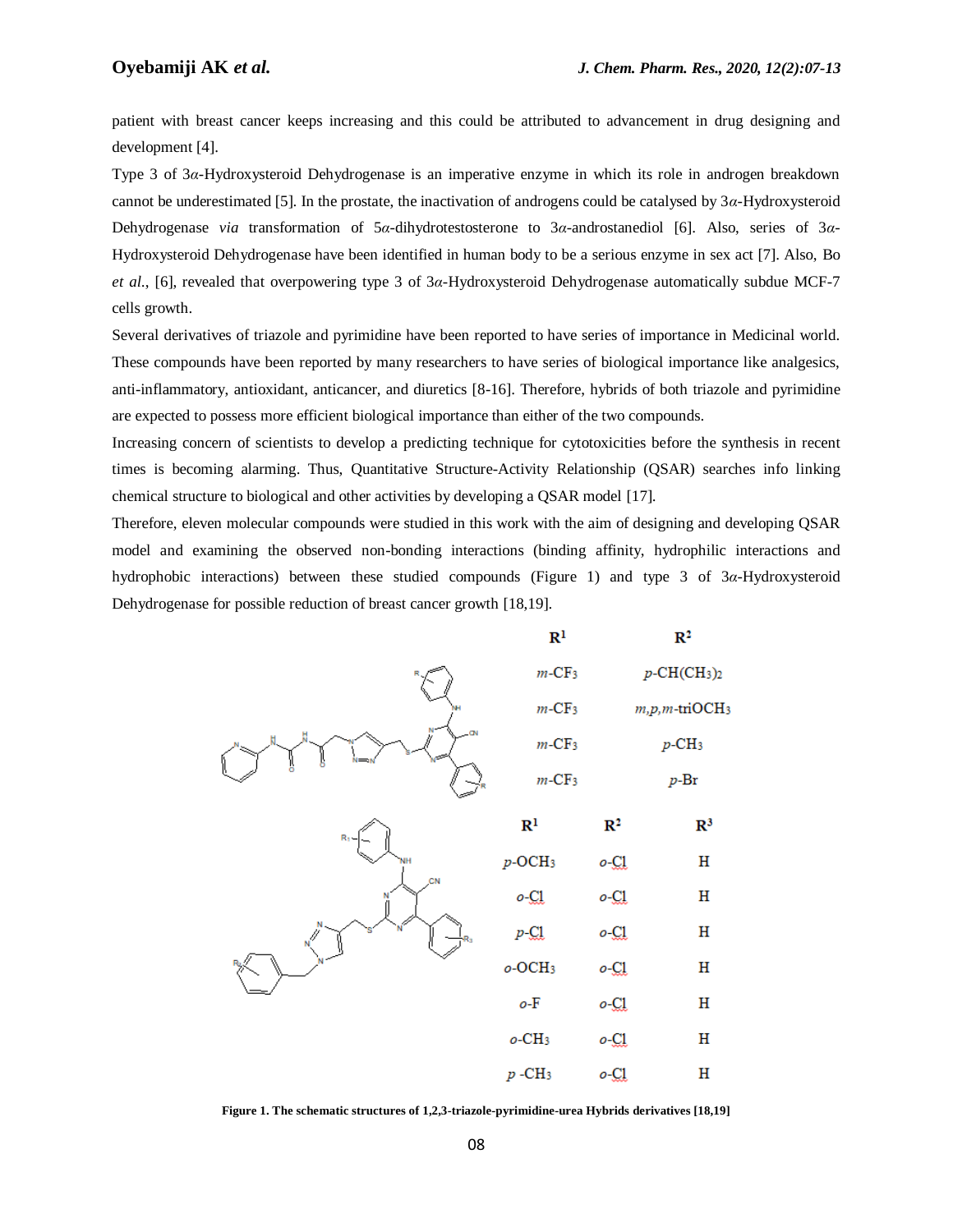patient with breast cancer keeps increasing and this could be attributed to advancement in drug designing and development [4].

Type 3 of 3*α*-Hydroxysteroid Dehydrogenase is an imperative enzyme in which its role in androgen breakdown cannot be underestimated [5]. In the prostate, the inactivation of androgens could be catalysed by 3*α*-Hydroxysteroid Dehydrogenase *via* transformation of 5*α*-dihydrotestosterone to 3*α*-androstanediol [6]. Also, series of 3*α*-Hydroxysteroid Dehydrogenase have been identified in human body to be a serious enzyme in sex act [7]. Also, Bo *et al*., [6], revealed that overpowering type 3 of 3*α*-Hydroxysteroid Dehydrogenase automatically subdue MCF-7 cells growth.

Several derivatives of triazole and pyrimidine have been reported to have series of importance in Medicinal world. These compounds have been reported by many researchers to have series of biological importance like analgesics, anti-inflammatory, antioxidant, anticancer, and diuretics [8-16]. Therefore, hybrids of both triazole and pyrimidine are expected to possess more efficient biological importance than either of the two compounds.

Increasing concern of scientists to develop a predicting technique for cytotoxicities before the synthesis in recent times is becoming alarming. Thus, Quantitative Structure-Activity Relationship (QSAR) searches info linking chemical structure to biological and other activities by developing a QSAR model [17].

Therefore, eleven molecular compounds were studied in this work with the aim of designing and developing QSAR model and examining the observed non-bonding interactions (binding affinity, hydrophilic interactions and hydrophobic interactions) between these studied compounds (Figure 1) and type 3 of 3*α*-Hydroxysteroid Dehydrogenase for possible reduction of breast cancer growth [18,19].



**Figure 1. The schematic structures of 1,2,3-triazole-pyrimidine-urea Hybrids derivatives [18,19]**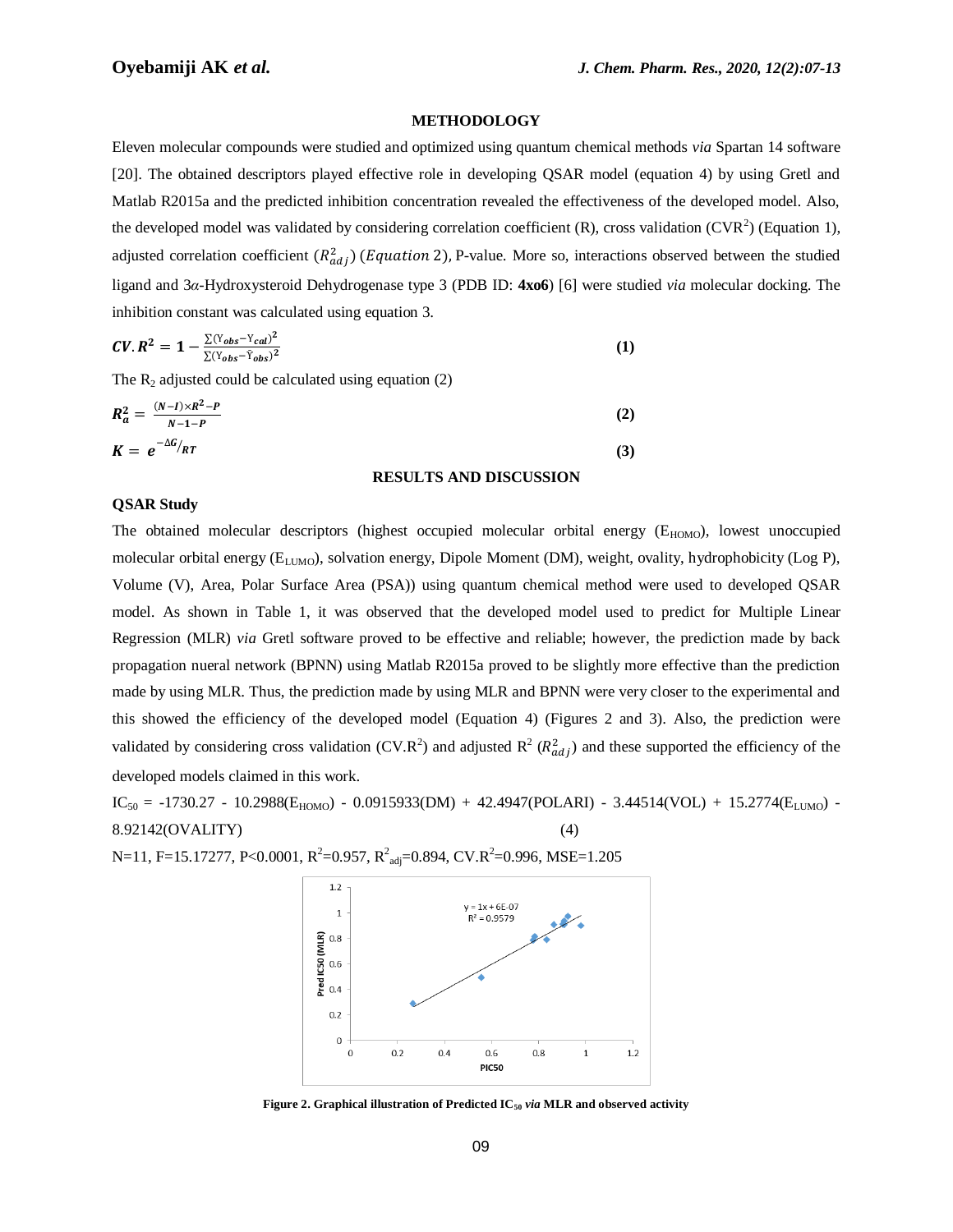#### **METHODOLOGY**

Eleven molecular compounds were studied and optimized using quantum chemical methods *via* Spartan 14 software [20]. The obtained descriptors played effective role in developing QSAR model (equation 4) by using Gretl and Matlab R2015a and the predicted inhibition concentration revealed the effectiveness of the developed model. Also, the developed model was validated by considering correlation coefficient  $(R)$ , cross validation  $(CVR<sup>2</sup>)$  (Equation 1), adjusted correlation coefficient  $(R_{adi}^2)$  (*Equation* 2), P-value. More so, interactions observed between the studied ligand and 3*α*-Hydroxysteroid Dehydrogenase type 3 (PDB ID: **4xo6**) [6] were studied *via* molecular docking. The inhibition constant was calculated using equation 3.

$$
CV. R2 = 1 - \frac{\sum (Y_{obs} - Y_{cal})^{2}}{\sum (Y_{obs} - \tilde{Y}_{obs})^{2}}
$$
 (1)

The  $R_2$  adjusted could be calculated using equation (2)

$$
R_a^2 = \frac{(N-I)\times R^2 - P}{N-1-P}
$$
  
\n
$$
K = e^{-\Delta G}/RT
$$
\n(2)

#### **RESULTS AND DISCUSSION**

#### **QSAR Study**

The obtained molecular descriptors (highest occupied molecular orbital energy  $(E_{HOMO})$ , lowest unoccupied molecular orbital energy ( $E_{LUMO}$ ), solvation energy, Dipole Moment (DM), weight, ovality, hydrophobicity (Log P), Volume (V), Area, Polar Surface Area (PSA)) using quantum chemical method were used to developed QSAR model. As shown in Table 1, it was observed that the developed model used to predict for Multiple Linear Regression (MLR) *via* Gretl software proved to be effective and reliable; however, the prediction made by back propagation nueral network (BPNN) using Matlab R2015a proved to be slightly more effective than the prediction made by using MLR. Thus, the prediction made by using MLR and BPNN were very closer to the experimental and this showed the efficiency of the developed model (Equation 4) (Figures 2 and 3). Also, the prediction were validated by considering cross validation (CV.R<sup>2</sup>) and adjusted  $R^2 (R^2_{adi})$  and these supported the efficiency of the developed models claimed in this work.

 $IC_{50} = -1730.27 - 10.2988(E_{HOMO}) - 0.0915933(DM) + 42.4947(POLARI) - 3.44514(VOL) + 15.2774(E_{LUMO}) - 10.0915935(DM) + 12.4947(POLARI) - 10.0915935(DM) - 10.0915935(DM) - 10.0915935(DM) - 10.0915935(DM) - 10.0915935(DM) - 10.0915935(DM) - 10.0915935(DM) - 10$ 8.92142(OVALITY) (4)

N=11, F=15.17277, P<0.0001, R<sup>2</sup>=0.957, R<sup>2</sup><sub>adj</sub>=0.894, CV.R<sup>2</sup>=0.996, MSE=1.205



**Figure 2. Graphical illustration of Predicted IC<sup>50</sup>** *via* **MLR and observed activity**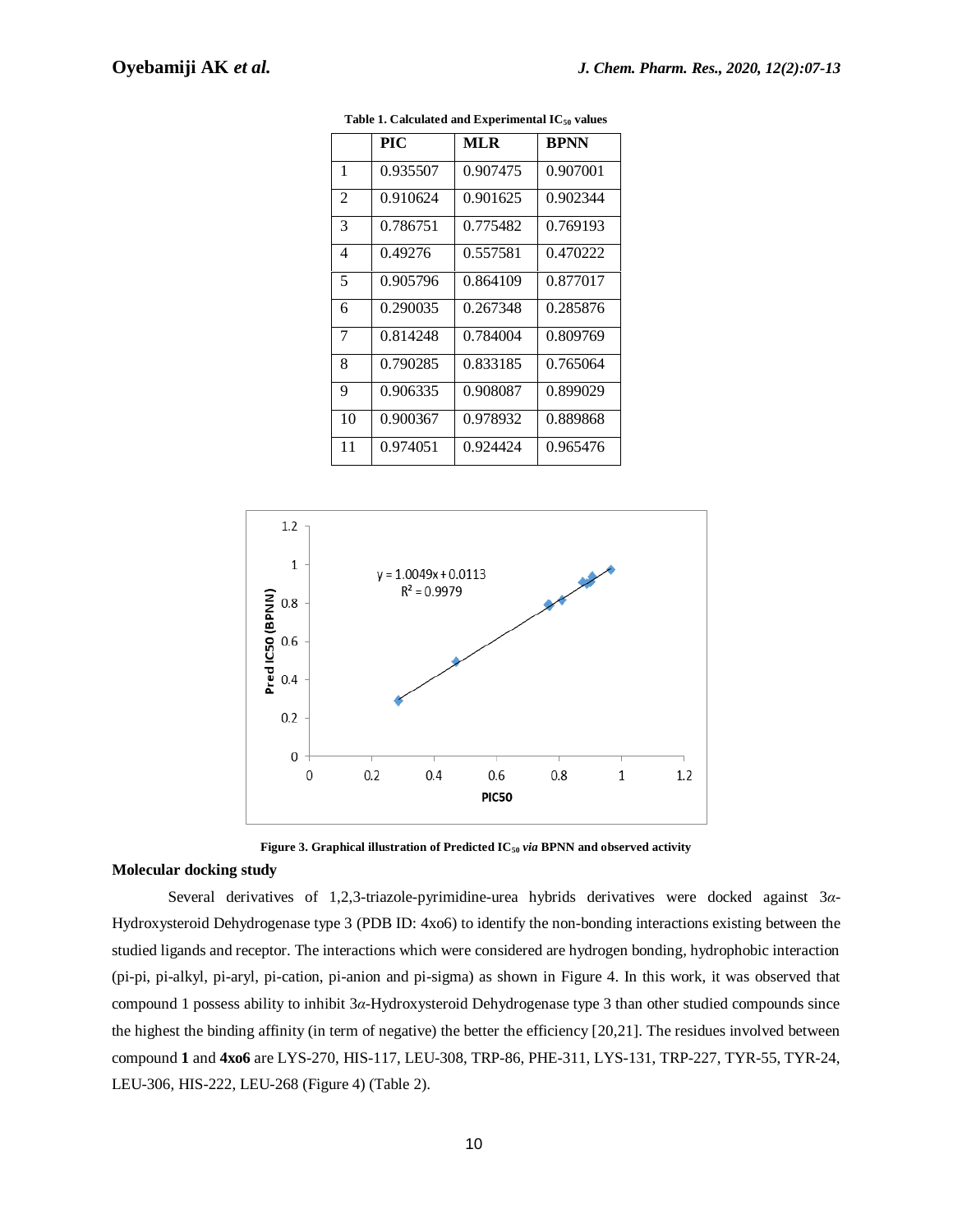|                | PIC      | MLR      | <b>BPNN</b> |
|----------------|----------|----------|-------------|
| 1              | 0.935507 | 0.907475 | 0.907001    |
| $\mathfrak{D}$ | 0.910624 | 0.901625 | 0.902344    |
| 3              | 0.786751 | 0.775482 | 0.769193    |
| 4              | 0.49276  | 0.557581 | 0.470222    |
| 5              | 0.905796 | 0.864109 | 0.877017    |
| 6              | 0.290035 | 0.267348 | 0.285876    |
| 7              | 0.814248 | 0.784004 | 0.809769    |
| 8              | 0.790285 | 0.833185 | 0.765064    |
| 9              | 0.906335 | 0.908087 | 0.899029    |
| 10             | 0.900367 | 0.978932 | 0.889868    |
| 11             | 0.974051 | 0.924424 | 0.965476    |

**Table 1. Calculated and Experimental IC<sup>50</sup> values**





#### **Molecular docking study**

Several derivatives of 1,2,3-triazole-pyrimidine-urea hybrids derivatives were docked against 3*α*-Hydroxysteroid Dehydrogenase type 3 (PDB ID: 4xo6) to identify the non-bonding interactions existing between the studied ligands and receptor. The interactions which were considered are hydrogen bonding, hydrophobic interaction (pi-pi, pi-alkyl, pi-aryl, pi-cation, pi-anion and pi-sigma) as shown in Figure 4. In this work, it was observed that compound 1 possess ability to inhibit 3*α*-Hydroxysteroid Dehydrogenase type 3 than other studied compounds since the highest the binding affinity (in term of negative) the better the efficiency [20,21]. The residues involved between compound **1** and **4xo6** are LYS-270, HIS-117, LEU-308, TRP-86, PHE-311, LYS-131, TRP-227, TYR-55, TYR-24, LEU-306, HIS-222, LEU-268 (Figure 4) (Table 2).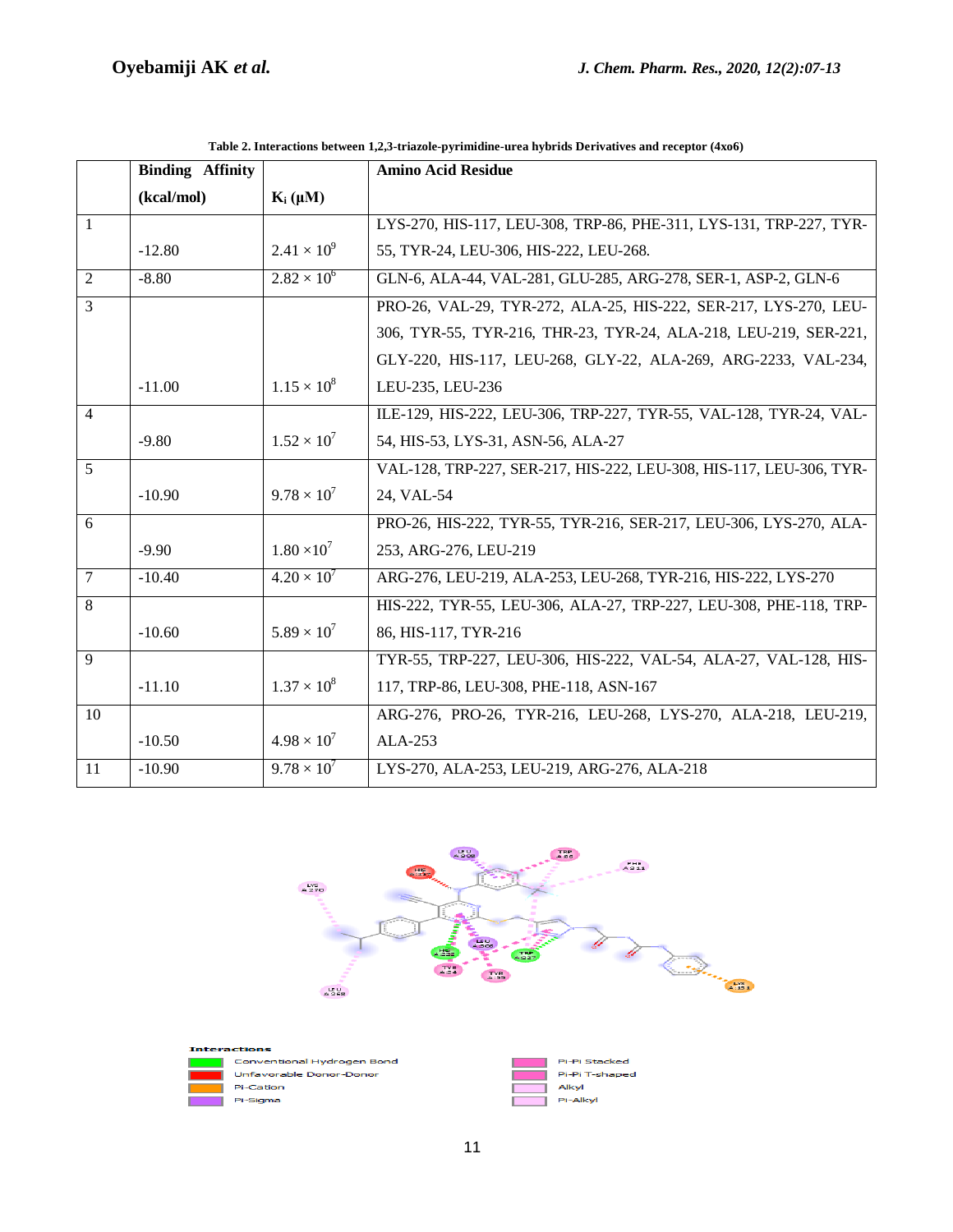|                | <b>Binding Affinity</b> |                      | <b>Amino Acid Residue</b>                                           |  |
|----------------|-------------------------|----------------------|---------------------------------------------------------------------|--|
|                | (kcal/mol)              | $K_i(\mu M)$         |                                                                     |  |
| $\mathbf{1}$   |                         |                      | LYS-270, HIS-117, LEU-308, TRP-86, PHE-311, LYS-131, TRP-227, TYR-  |  |
|                | $-12.80$                | $2.41 \times 10^{9}$ | 55, TYR-24, LEU-306, HIS-222, LEU-268.                              |  |
| 2              | $-8.80$                 | $2.82 \times 10^{6}$ | GLN-6, ALA-44, VAL-281, GLU-285, ARG-278, SER-1, ASP-2, GLN-6       |  |
| $\overline{3}$ |                         |                      | PRO-26, VAL-29, TYR-272, ALA-25, HIS-222, SER-217, LYS-270, LEU-    |  |
|                |                         |                      | 306, TYR-55, TYR-216, THR-23, TYR-24, ALA-218, LEU-219, SER-221,    |  |
|                |                         |                      | GLY-220, HIS-117, LEU-268, GLY-22, ALA-269, ARG-2233, VAL-234,      |  |
|                | $-11.00$                | $1.15 \times 10^8$   | LEU-235, LEU-236                                                    |  |
| $\overline{4}$ |                         |                      | ILE-129, HIS-222, LEU-306, TRP-227, TYR-55, VAL-128, TYR-24, VAL-   |  |
|                | $-9.80$                 | $1.52 \times 10^{7}$ | 54, HIS-53, LYS-31, ASN-56, ALA-27                                  |  |
| 5              |                         |                      | VAL-128, TRP-227, SER-217, HIS-222, LEU-308, HIS-117, LEU-306, TYR- |  |
|                | $-10.90$                | $9.78 \times 10^{7}$ | 24, VAL-54                                                          |  |
| 6              |                         |                      | PRO-26, HIS-222, TYR-55, TYR-216, SER-217, LEU-306, LYS-270, ALA-   |  |
|                | $-9.90$                 | $1.80 \times 10^7$   | 253, ARG-276, LEU-219                                               |  |
| $\overline{7}$ | $-10.40$                | $4.20 \times 10^{7}$ | ARG-276, LEU-219, ALA-253, LEU-268, TYR-216, HIS-222, LYS-270       |  |
| 8              |                         |                      | HIS-222, TYR-55, LEU-306, ALA-27, TRP-227, LEU-308, PHE-118, TRP-   |  |
|                | $-10.60$                | $5.89 \times 10^{7}$ | 86, HIS-117, TYR-216                                                |  |
| $\overline{9}$ |                         |                      | TYR-55, TRP-227, LEU-306, HIS-222, VAL-54, ALA-27, VAL-128, HIS-    |  |
|                | $-11.10$                | $1.37 \times 10^8$   | 117, TRP-86, LEU-308, PHE-118, ASN-167                              |  |
| 10             |                         |                      | ARG-276, PRO-26, TYR-216, LEU-268, LYS-270, ALA-218, LEU-219,       |  |
|                | $-10.50$                | $4.98 \times 10^{7}$ | ALA-253                                                             |  |
| 11             | $-10.90$                | $9.78 \times 10^{7}$ | LYS-270, ALA-253, LEU-219, ARG-276, ALA-218                         |  |

**Table 2. Interactions between 1,2,3-triazole-pyrimidine-urea hybrids Derivatives and receptor (4xo6)**



Pi-Alkyl



Pi-Sigma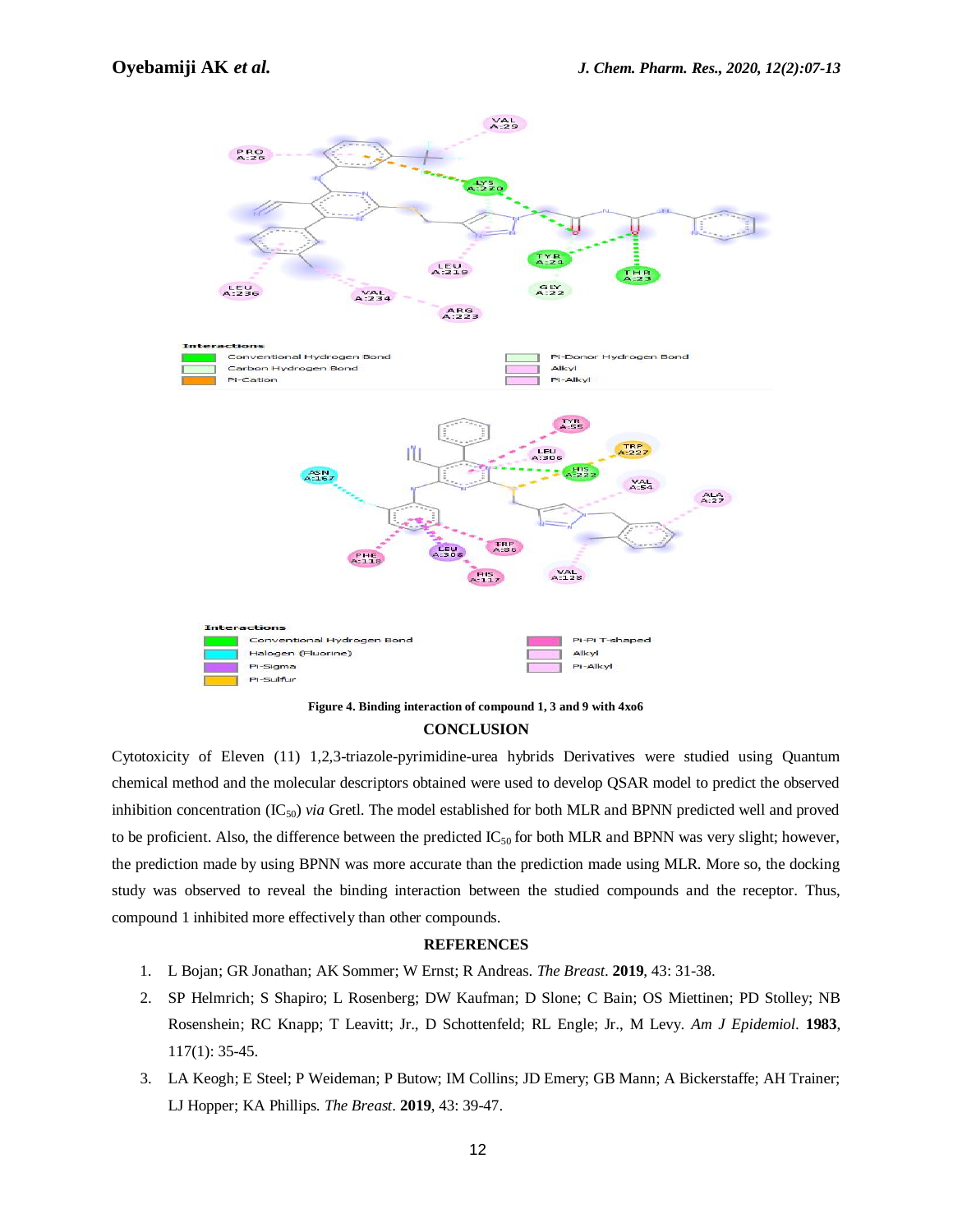

### **Figure 4. Binding interaction of compound 1, 3 and 9 with 4xo6 CONCLUSION**

Cytotoxicity of Eleven (11) 1,2,3-triazole-pyrimidine-urea hybrids Derivatives were studied using Quantum chemical method and the molecular descriptors obtained were used to develop QSAR model to predict the observed inhibition concentration (IC50) *via* Gretl. The model established for both MLR and BPNN predicted well and proved to be proficient. Also, the difference between the predicted  $IC_{50}$  for both MLR and BPNN was very slight; however, the prediction made by using BPNN was more accurate than the prediction made using MLR. More so, the docking study was observed to reveal the binding interaction between the studied compounds and the receptor. Thus, compound 1 inhibited more effectively than other compounds.

#### **REFERENCES**

- 1. L Bojan; GR Jonathan; AK Sommer; W Ernst; R Andreas. *The Breast*. **2019**, 43: 31-38.
- 2. SP [Helmrich;](javascript:;) S Shapiro; L Rosenberg; DW [Kaufman;](javascript:;) D Slone; C Bain; OS Miettinen; PD Stolley; [NB](javascript:;) Rosenshein; RC Knapp; T [Leavitt;](javascript:;) Jr., D [Schottenfeld;](javascript:;) RL [Engle;](javascript:;) Jr., M Levy. *Am J Epidemiol*. **1983**, 117(1): 35-45.
- 3. LA Keogh; E Steel; P Weideman; P Butow; IM Collins; JD Emery; GB Mann; A Bickerstaffe; AH Trainer; LJ Hopper; KA Phillips. *The Breast*. **2019**, 43: 39-47.